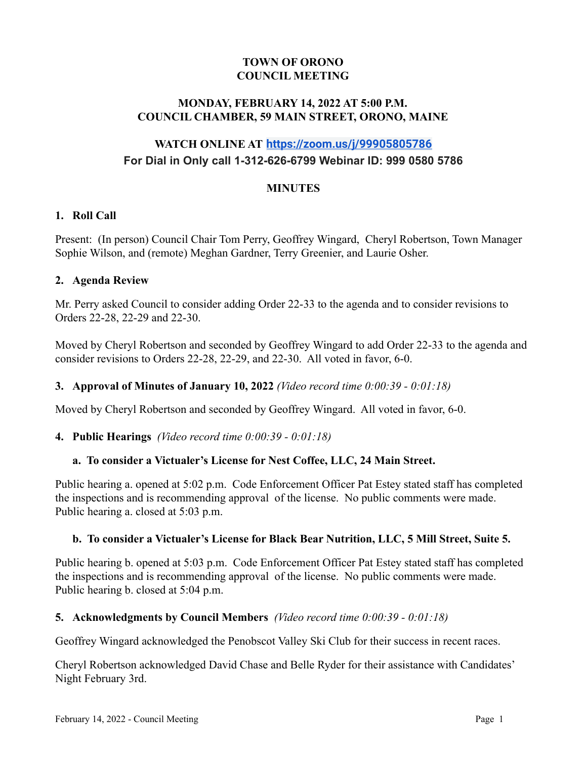## **TOWN OF ORONO COUNCIL MEETING**

### **MONDAY, FEBRUARY 14, 2022 AT 5:00 P.M. COUNCIL CHAMBER, 59 MAIN STREET, ORONO, MAINE**

# **WATCH ONLINE AT <https://zoom.us/j/99905805786> For Dial in Only call 1-312-626-6799 Webinar ID: 999 0580 5786**

### **MINUTES**

### **1. Roll Call**

Present: (In person) Council Chair Tom Perry, Geoffrey Wingard, Cheryl Robertson, Town Manager Sophie Wilson, and (remote) Meghan Gardner, Terry Greenier, and Laurie Osher.

### **2. Agenda Review**

Mr. Perry asked Council to consider adding Order 22-33 to the agenda and to consider revisions to Orders 22-28, 22-29 and 22-30.

Moved by Cheryl Robertson and seconded by Geoffrey Wingard to add Order 22-33 to the agenda and consider revisions to Orders 22-28, 22-29, and 22-30. All voted in favor, 6-0.

### **3. Approval of Minutes of January 10, 2022** *(Video record time 0:00:39 - 0:01:18)*

Moved by Cheryl Robertson and seconded by Geoffrey Wingard. All voted in favor, 6-0.

#### **4. Public Hearings** *(Video record time 0:00:39 - 0:01:18)*

### **a. To consider a Victualer's License for Nest Coffee, LLC, 24 Main Street.**

Public hearing a. opened at 5:02 p.m. Code Enforcement Officer Pat Estey stated staff has completed the inspections and is recommending approval of the license. No public comments were made. Public hearing a. closed at 5:03 p.m.

#### **b. To consider a Victualer's License for Black Bear Nutrition, LLC, 5 Mill Street, Suite 5.**

Public hearing b. opened at 5:03 p.m. Code Enforcement Officer Pat Estey stated staff has completed the inspections and is recommending approval of the license. No public comments were made. Public hearing b. closed at 5:04 p.m.

#### **5. Acknowledgments by Council Members** *(Video record time 0:00:39 - 0:01:18)*

Geoffrey Wingard acknowledged the Penobscot Valley Ski Club for their success in recent races.

Cheryl Robertson acknowledged David Chase and Belle Ryder for their assistance with Candidates' Night February 3rd.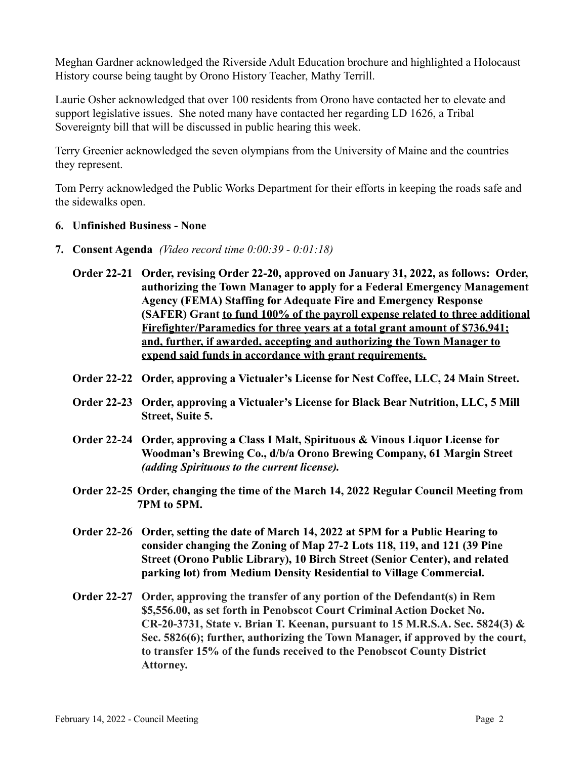Meghan Gardner acknowledged the Riverside Adult Education brochure and highlighted a Holocaust History course being taught by Orono History Teacher, Mathy Terrill.

Laurie Osher acknowledged that over 100 residents from Orono have contacted her to elevate and support legislative issues. She noted many have contacted her regarding LD 1626, a Tribal Sovereignty bill that will be discussed in public hearing this week.

Terry Greenier acknowledged the seven olympians from the University of Maine and the countries they represent.

Tom Perry acknowledged the Public Works Department for their efforts in keeping the roads safe and the sidewalks open.

- **6. Unfinished Business None**
- **7. Consent Agenda** *(Video record time 0:00:39 0:01:18)*
	- **Order 22-21 Order, revising Order 22-20, approved on January 31, 2022, as follows: Order, authorizing the Town Manager to apply for a Federal Emergency Management Agency (FEMA) Staffing for Adequate Fire and Emergency Response (SAFER) Grant to fund 100% of the payroll expense related to three additional Firefighter/Paramedics for three years at a total grant amount of \$736,941; and, further, if awarded, accepting and authorizing the Town Manager to expend said funds in accordance with grant requirements.**
	- **Order 22-22 Order, approving a Victualer's License for Nest Coffee, LLC, 24 Main Street.**
	- **Order 22-23 Order, approving a Victualer's License for Black Bear Nutrition, LLC, 5 Mill Street, Suite 5.**
	- **Order 22-24 Order, approving a Class I Malt, Spirituous & Vinous Liquor License for Woodman's Brewing Co., d/b/a Orono Brewing Company, 61 Margin Street** *(adding Spirituous to the current license).*
	- **Order 22-25 Order, changing the time of the March 14, 2022 Regular Council Meeting from 7PM to 5PM.**
	- **Order 22-26 Order, setting the date of March 14, 2022 at 5PM for a Public Hearing to consider changing the Zoning of Map 27-2 Lots 118, 119, and 121 (39 Pine Street (Orono Public Library), 10 Birch Street (Senior Center), and related parking lot) from Medium Density Residential to Village Commercial.**
	- **Order 22-27 Order, approving the transfer of any portion of the Defendant(s) in Rem \$5,556.00, as set forth in Penobscot Court Criminal Action Docket No. CR-20-3731, State v. Brian T. Keenan, pursuant to 15 M.R.S.A. Sec. 5824(3) & Sec. 5826(6); further, authorizing the Town Manager, if approved by the court, to transfer 15% of the funds received to the Penobscot County District Attorney.**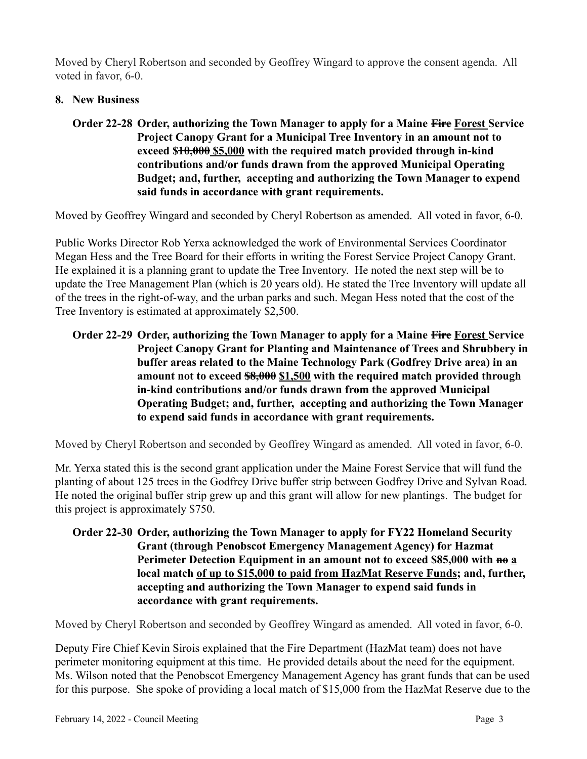Moved by Cheryl Robertson and seconded by Geoffrey Wingard to approve the consent agenda. All voted in favor, 6-0.

## **8. New Business**

# **Order 22-28 Order, authorizing the Town Manager to apply for a Maine Fire Forest Service Project Canopy Grant for a Municipal Tree Inventory in an amount not to exceed \$10,000 \$5,000 with the required match provided through in-kind contributions and/or funds drawn from the approved Municipal Operating Budget; and, further, accepting and authorizing the Town Manager to expend said funds in accordance with grant requirements.**

Moved by Geoffrey Wingard and seconded by Cheryl Robertson as amended. All voted in favor, 6-0.

Public Works Director Rob Yerxa acknowledged the work of Environmental Services Coordinator Megan Hess and the Tree Board for their efforts in writing the Forest Service Project Canopy Grant. He explained it is a planning grant to update the Tree Inventory. He noted the next step will be to update the Tree Management Plan (which is 20 years old). He stated the Tree Inventory will update all of the trees in the right-of-way, and the urban parks and such. Megan Hess noted that the cost of the Tree Inventory is estimated at approximately \$2,500.

# **Order 22-29 Order, authorizing the Town Manager to apply for a Maine Fire Forest Service Project Canopy Grant for Planting and Maintenance of Trees and Shrubbery in buffer areas related to the Maine Technology Park (Godfrey Drive area) in an amount not to exceed \$8,000 \$1,500 with the required match provided through in-kind contributions and/or funds drawn from the approved Municipal Operating Budget; and, further, accepting and authorizing the Town Manager to expend said funds in accordance with grant requirements.**

Moved by Cheryl Robertson and seconded by Geoffrey Wingard as amended. All voted in favor, 6-0.

Mr. Yerxa stated this is the second grant application under the Maine Forest Service that will fund the planting of about 125 trees in the Godfrey Drive buffer strip between Godfrey Drive and Sylvan Road. He noted the original buffer strip grew up and this grant will allow for new plantings. The budget for this project is approximately \$750.

# **Order 22-30 Order, authorizing the Town Manager to apply for FY22 Homeland Security Grant (through Penobscot Emergency Management Agency) for Hazmat Perimeter Detection Equipment in an amount not to exceed \$85,000 with no a local match of up to \$15,000 to paid from HazMat Reserve Funds; and, further, accepting and authorizing the Town Manager to expend said funds in accordance with grant requirements.**

Moved by Cheryl Robertson and seconded by Geoffrey Wingard as amended. All voted in favor, 6-0.

Deputy Fire Chief Kevin Sirois explained that the Fire Department (HazMat team) does not have perimeter monitoring equipment at this time. He provided details about the need for the equipment. Ms. Wilson noted that the Penobscot Emergency Management Agency has grant funds that can be used for this purpose. She spoke of providing a local match of \$15,000 from the HazMat Reserve due to the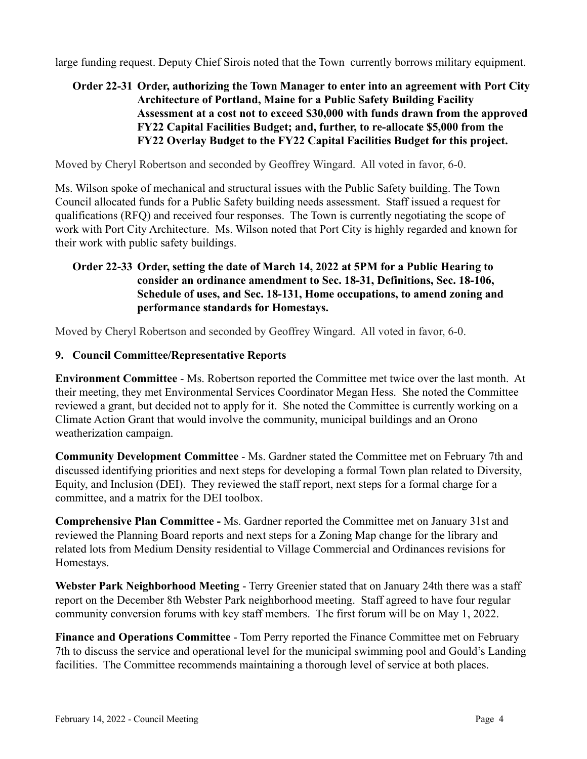large funding request. Deputy Chief Sirois noted that the Town currently borrows military equipment.

# **Order 22-31 Order, authorizing the Town Manager to enter into an agreement with Port City Architecture of Portland, Maine for a Public Safety Building Facility Assessment at a cost not to exceed \$30,000 with funds drawn from the approved FY22 Capital Facilities Budget; and, further, to re-allocate \$5,000 from the FY22 Overlay Budget to the FY22 Capital Facilities Budget for this project.**

Moved by Cheryl Robertson and seconded by Geoffrey Wingard. All voted in favor, 6-0.

Ms. Wilson spoke of mechanical and structural issues with the Public Safety building. The Town Council allocated funds for a Public Safety building needs assessment. Staff issued a request for qualifications (RFQ) and received four responses. The Town is currently negotiating the scope of work with Port City Architecture. Ms. Wilson noted that Port City is highly regarded and known for their work with public safety buildings.

# **Order 22-33 Order, setting the date of March 14, 2022 at 5PM for a Public Hearing to consider an ordinance amendment to Sec. 18-31, Definitions, Sec. 18-106, Schedule of uses, and Sec. 18-131, Home occupations, to amend zoning and performance standards for Homestays.**

Moved by Cheryl Robertson and seconded by Geoffrey Wingard. All voted in favor, 6-0.

### **9. Council Committee/Representative Reports**

**Environment Committee** - Ms. Robertson reported the Committee met twice over the last month. At their meeting, they met Environmental Services Coordinator Megan Hess. She noted the Committee reviewed a grant, but decided not to apply for it. She noted the Committee is currently working on a Climate Action Grant that would involve the community, municipal buildings and an Orono weatherization campaign.

**Community Development Committee** - Ms. Gardner stated the Committee met on February 7th and discussed identifying priorities and next steps for developing a formal Town plan related to Diversity, Equity, and Inclusion (DEI). They reviewed the staff report, next steps for a formal charge for a committee, and a matrix for the DEI toolbox.

**Comprehensive Plan Committee -** Ms. Gardner reported the Committee met on January 31st and reviewed the Planning Board reports and next steps for a Zoning Map change for the library and related lots from Medium Density residential to Village Commercial and Ordinances revisions for Homestays.

**Webster Park Neighborhood Meeting** - Terry Greenier stated that on January 24th there was a staff report on the December 8th Webster Park neighborhood meeting. Staff agreed to have four regular community conversion forums with key staff members. The first forum will be on May 1, 2022.

**Finance and Operations Committee** - Tom Perry reported the Finance Committee met on February 7th to discuss the service and operational level for the municipal swimming pool and Gould's Landing facilities. The Committee recommends maintaining a thorough level of service at both places.